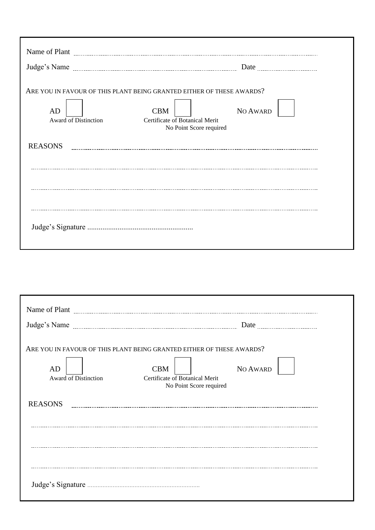| Judge's Name                      |                                                                                                                                                              |  |  |  |  |  |
|-----------------------------------|--------------------------------------------------------------------------------------------------------------------------------------------------------------|--|--|--|--|--|
| AD<br><b>Award of Distinction</b> | ARE YOU IN FAVOUR OF THIS PLANT BEING GRANTED EITHER OF THESE AWARDS?<br>NO AWARD<br><b>CBM</b><br>Certificate of Botanical Merit<br>No Point Score required |  |  |  |  |  |
| <b>REASONS</b>                    |                                                                                                                                                              |  |  |  |  |  |
|                                   |                                                                                                                                                              |  |  |  |  |  |
|                                   |                                                                                                                                                              |  |  |  |  |  |
|                                   |                                                                                                                                                              |  |  |  |  |  |
|                                   |                                                                                                                                                              |  |  |  |  |  |
|                                   |                                                                                                                                                              |  |  |  |  |  |

| Judge's Name                      | Date <u></u>                                                                                                                                                 |
|-----------------------------------|--------------------------------------------------------------------------------------------------------------------------------------------------------------|
| AD<br><b>Award of Distinction</b> | ARE YOU IN FAVOUR OF THIS PLANT BEING GRANTED EITHER OF THESE AWARDS?<br><b>CBM</b><br>NO AWARD<br>Certificate of Botanical Merit<br>No Point Score required |
| <b>REASONS</b>                    |                                                                                                                                                              |
|                                   |                                                                                                                                                              |
|                                   |                                                                                                                                                              |
|                                   |                                                                                                                                                              |
|                                   |                                                                                                                                                              |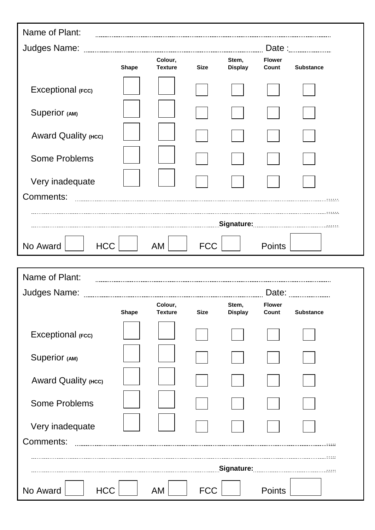| Name of Plant:         |              |                           |             |                         |                        |                  |
|------------------------|--------------|---------------------------|-------------|-------------------------|------------------------|------------------|
| Judges Name:           |              |                           |             |                         |                        |                  |
|                        | <b>Shape</b> | Colour,<br><b>Texture</b> | <b>Size</b> | Stem,<br><b>Display</b> | <b>Flower</b><br>Count | <b>Substance</b> |
| Exceptional (Fcc)      |              |                           |             |                         |                        |                  |
| Superior (AM)          |              |                           |             |                         |                        |                  |
| Award Quality (HCC)    |              |                           |             |                         |                        |                  |
| <b>Some Problems</b>   |              |                           |             |                         |                        |                  |
| Very inadequate        |              |                           |             |                         |                        |                  |
| Comments:              |              |                           |             |                         |                        |                  |
|                        |              |                           |             |                         |                        |                  |
|                        |              |                           |             |                         |                        |                  |
| No Award<br><b>HCC</b> |              | <b>AM</b>                 | <b>FCC</b>  |                         | <b>Points</b>          |                  |

| Name of Plant:         |              |                           |             |                         |                        |                  |
|------------------------|--------------|---------------------------|-------------|-------------------------|------------------------|------------------|
| Judges Name:           |              |                           |             |                         | Date:                  |                  |
|                        | <b>Shape</b> | Colour,<br><b>Texture</b> | <b>Size</b> | Stem,<br><b>Display</b> | <b>Flower</b><br>Count | <b>Substance</b> |
| Exceptional (Fcc)      |              |                           |             |                         |                        |                  |
| Superior (AM)          |              |                           |             |                         |                        |                  |
| Award Quality (HCC)    |              |                           |             |                         |                        |                  |
| <b>Some Problems</b>   |              |                           |             |                         |                        |                  |
| Very inadequate        |              |                           |             |                         |                        |                  |
| Comments:              |              |                           |             |                         |                        |                  |
|                        |              |                           |             |                         |                        |                  |
| No Award<br><b>HCC</b> |              | AM                        | <b>FCC</b>  |                         | <b>Points</b>          |                  |